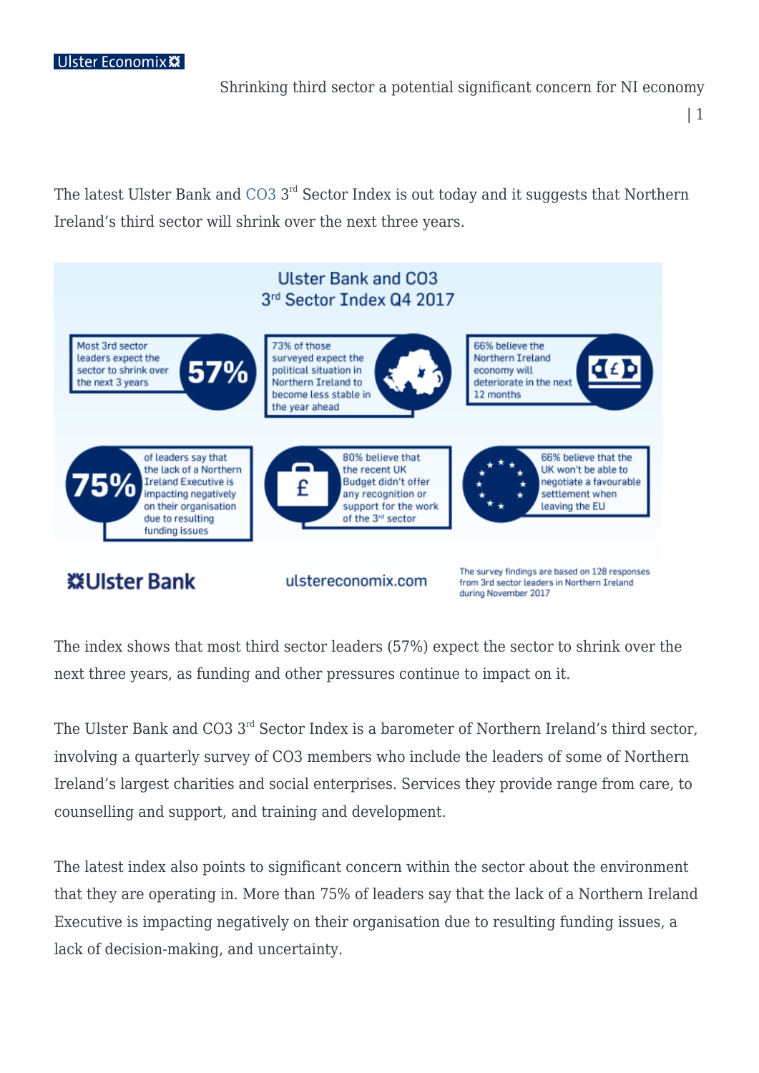Shrinking third sector a potential significant concern for NI economy

| 1

The latest Ulster Bank and [CO3](https://www.co3.bz/) 3<sup>rd</sup> Sector Index is out today and it suggests that Northern Ireland's third sector will shrink over the next three years.



The index shows that most third sector leaders (57%) expect the sector to shrink over the next three years, as funding and other pressures continue to impact on it.

The Ulster Bank and CO3 3<sup>rd</sup> Sector Index is a barometer of Northern Ireland's third sector, involving a quarterly survey of CO3 members who include the leaders of some of Northern Ireland's largest charities and social enterprises. Services they provide range from care, to counselling and support, and training and development.

The latest index also points to significant concern within the sector about the environment that they are operating in. More than 75% of leaders say that the lack of a Northern Ireland Executive is impacting negatively on their organisation due to resulting funding issues, a lack of decision-making, and uncertainty.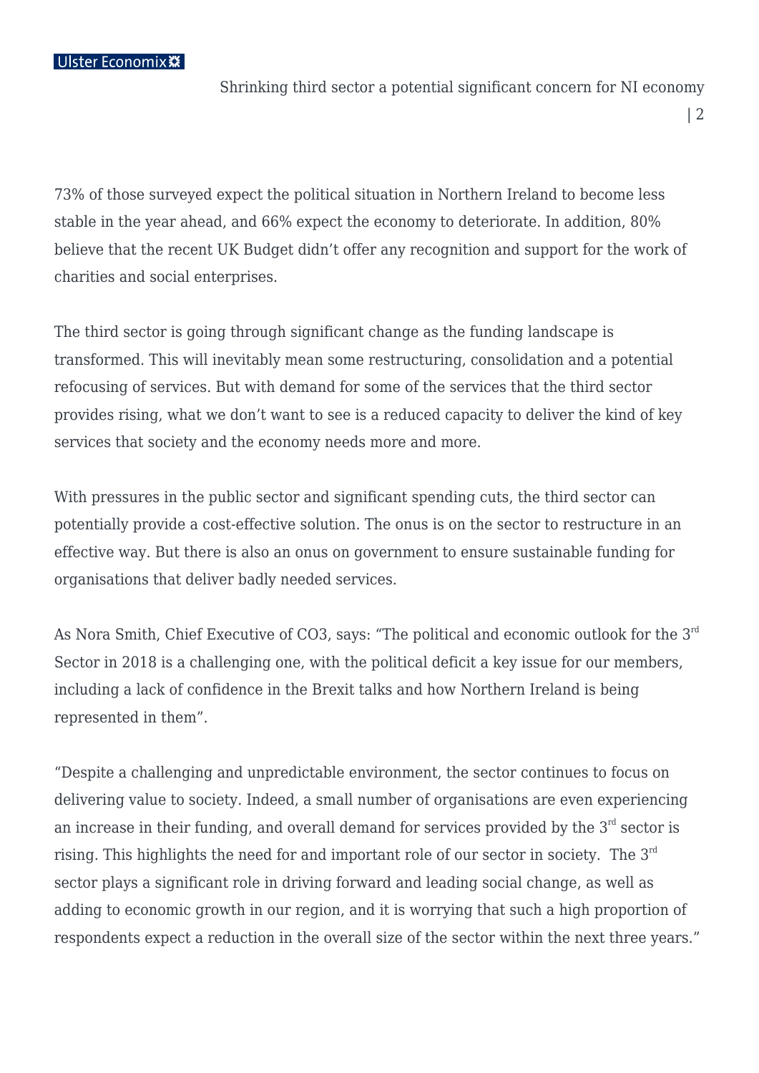## Ulster Economix \*\*

Shrinking third sector a potential significant concern for NI economy

| 2

73% of those surveyed expect the political situation in Northern Ireland to become less stable in the year ahead, and 66% expect the economy to deteriorate. In addition, 80% believe that the recent UK Budget didn't offer any recognition and support for the work of charities and social enterprises.

The third sector is going through significant change as the funding landscape is transformed. This will inevitably mean some restructuring, consolidation and a potential refocusing of services. But with demand for some of the services that the third sector provides rising, what we don't want to see is a reduced capacity to deliver the kind of key services that society and the economy needs more and more.

With pressures in the public sector and significant spending cuts, the third sector can potentially provide a cost-effective solution. The onus is on the sector to restructure in an effective way. But there is also an onus on government to ensure sustainable funding for organisations that deliver badly needed services.

As Nora Smith, Chief Executive of CO3, says: "The political and economic outlook for the 3<sup>rd</sup> Sector in 2018 is a challenging one, with the political deficit a key issue for our members, including a lack of confidence in the Brexit talks and how Northern Ireland is being represented in them".

"Despite a challenging and unpredictable environment, the sector continues to focus on delivering value to society. Indeed, a small number of organisations are even experiencing an increase in their funding, and overall demand for services provided by the  $3<sup>rd</sup>$  sector is rising. This highlights the need for and important role of our sector in society. The 3<sup>rd</sup> sector plays a significant role in driving forward and leading social change, as well as adding to economic growth in our region, and it is worrying that such a high proportion of respondents expect a reduction in the overall size of the sector within the next three years."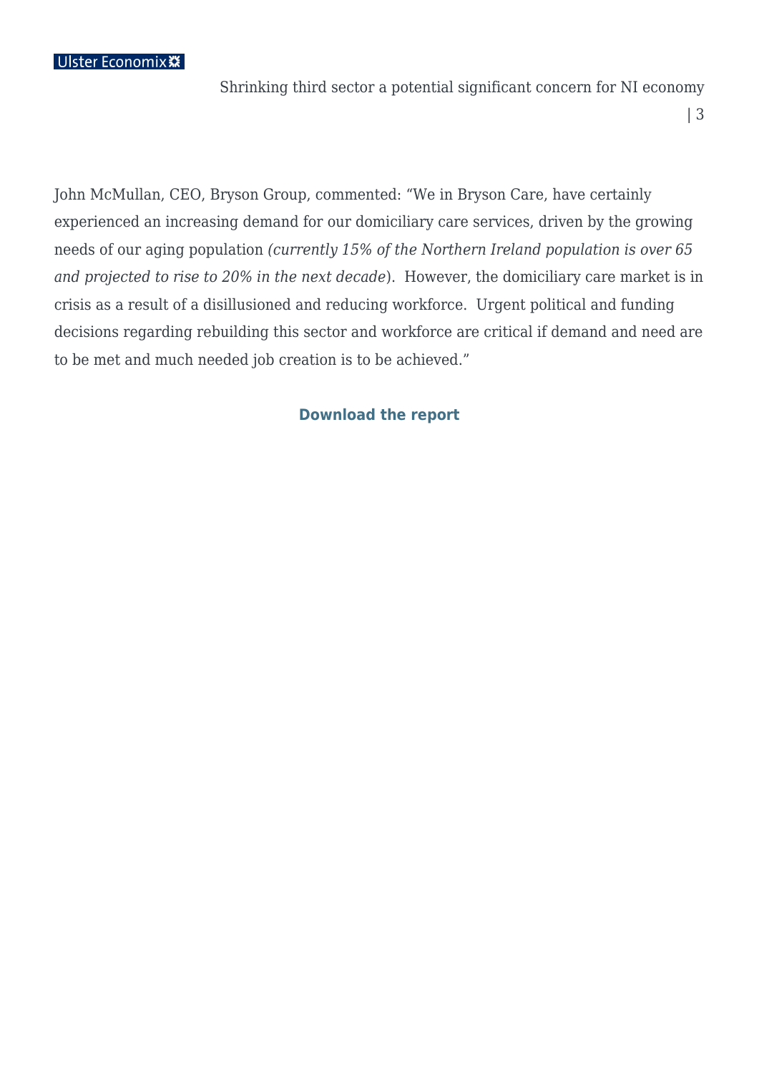## Ulster Economix \*\*

Shrinking third sector a potential significant concern for NI economy

| 3

John McMullan, CEO, Bryson Group, commented: "We in Bryson Care, have certainly experienced an increasing demand for our domiciliary care services, driven by the growing needs of our aging population *(currently 15% of the Northern Ireland population is over 65 and projected to rise to 20% in the next decade*). However, the domiciliary care market is in crisis as a result of a disillusioned and reducing workforce. Urgent political and funding decisions regarding rebuilding this sector and workforce are critical if demand and need are to be met and much needed job creation is to be achieved."

## **[Download the report](https://ulstereconomix.com/wp-content/uploads/2018/01/UB-CO3-Q4-2017-report.pdf)**